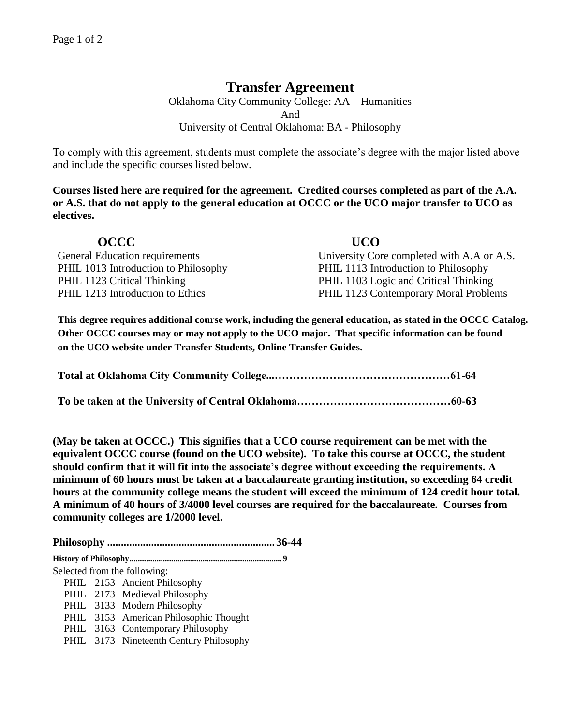# **Transfer Agreement**

Oklahoma City Community College: AA – Humanities And University of Central Oklahoma: BA - Philosophy

To comply with this agreement, students must complete the associate's degree with the major listed above and include the specific courses listed below.

**Courses listed here are required for the agreement. Credited courses completed as part of the A.A. or A.S. that do not apply to the general education at OCCC or the UCO major transfer to UCO as electives.**

| OCCC.                                 | <b>UCO</b>                                 |
|---------------------------------------|--------------------------------------------|
| <b>General Education requirements</b> | University Core completed with A.A or A.S. |
| PHIL 1013 Introduction to Philosophy  | PHIL 1113 Introduction to Philosophy       |
| PHIL 1123 Critical Thinking           | PHIL 1103 Logic and Critical Thinking      |
| PHIL 1213 Introduction to Ethics      | PHIL 1123 Contemporary Moral Problems      |

**This degree requires additional course work, including the general education, as stated in the OCCC Catalog. Other OCCC courses may or may not apply to the UCO major. That specific information can be found on the UCO website under Transfer Students, Online Transfer Guides.** 

**(May be taken at OCCC.) This signifies that a UCO course requirement can be met with the equivalent OCCC course (found on the UCO website). To take this course at OCCC, the student should confirm that it will fit into the associate's degree without exceeding the requirements. A minimum of 60 hours must be taken at a baccalaureate granting institution, so exceeding 64 credit hours at the community college means the student will exceed the minimum of 124 credit hour total. A minimum of 40 hours of 3/4000 level courses are required for the baccalaureate. Courses from community colleges are 1/2000 level.**

**Philosophy ............................................................. 36-44 History of Philosophy......................................................................... 9** Selected from the following: PHIL 2153 Ancient Philosophy PHIL 2173 Medieval Philosophy PHIL 3133 Modern Philosophy PHIL 3153 American Philosophic Thought

- PHIL 3163 Contemporary Philosophy
- PHIL 3173 Nineteenth Century Philosophy